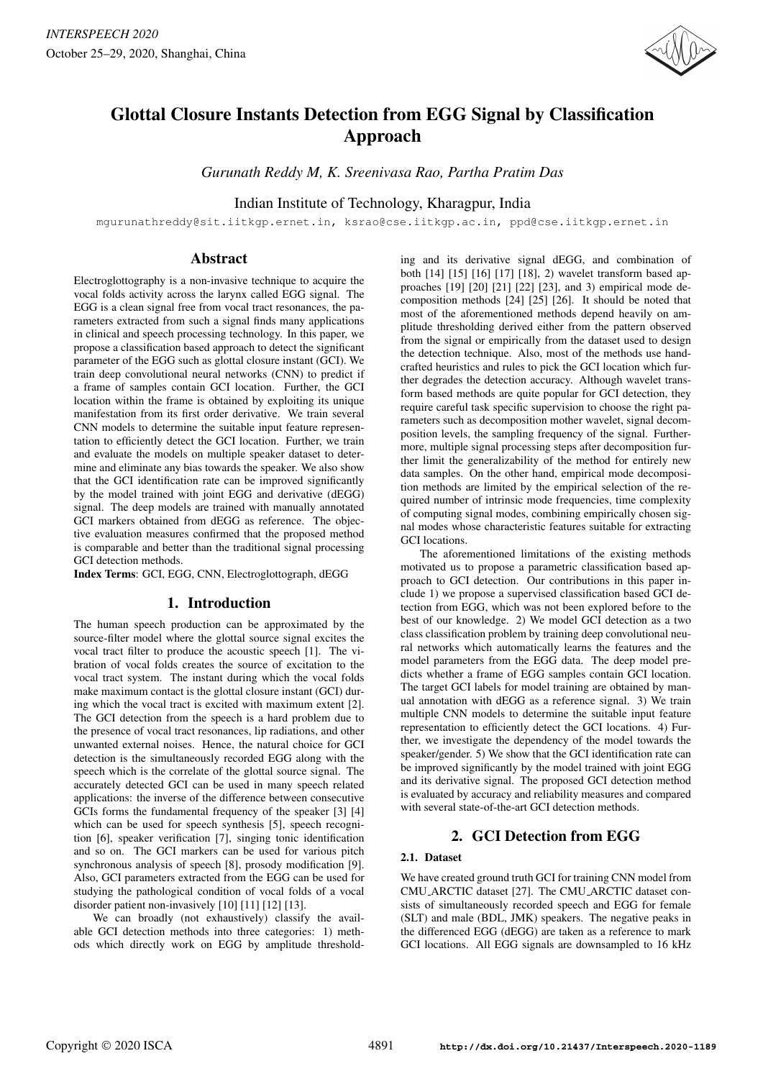

# Glottal Closure Instants Detection from EGG Signal by Classification Approach

*Gurunath Reddy M, K. Sreenivasa Rao, Partha Pratim Das*

Indian Institute of Technology, Kharagpur, India

mgurunathreddy@sit.iitkgp.ernet.in, ksrao@cse.iitkgp.ac.in, ppd@cse.iitkgp.ernet.in

# Abstract

Electroglottography is a non-invasive technique to acquire the vocal folds activity across the larynx called EGG signal. The EGG is a clean signal free from vocal tract resonances, the parameters extracted from such a signal finds many applications in clinical and speech processing technology. In this paper, we propose a classification based approach to detect the significant parameter of the EGG such as glottal closure instant (GCI). We train deep convolutional neural networks (CNN) to predict if a frame of samples contain GCI location. Further, the GCI location within the frame is obtained by exploiting its unique manifestation from its first order derivative. We train several CNN models to determine the suitable input feature representation to efficiently detect the GCI location. Further, we train and evaluate the models on multiple speaker dataset to determine and eliminate any bias towards the speaker. We also show that the GCI identification rate can be improved significantly by the model trained with joint EGG and derivative (dEGG) signal. The deep models are trained with manually annotated GCI markers obtained from dEGG as reference. The objective evaluation measures confirmed that the proposed method is comparable and better than the traditional signal processing GCI detection methods.

Index Terms: GCI, EGG, CNN, Electroglottograph, dEGG

# 1. Introduction

The human speech production can be approximated by the source-filter model where the glottal source signal excites the vocal tract filter to produce the acoustic speech [1]. The vibration of vocal folds creates the source of excitation to the vocal tract system. The instant during which the vocal folds make maximum contact is the glottal closure instant (GCI) during which the vocal tract is excited with maximum extent [2]. The GCI detection from the speech is a hard problem due to the presence of vocal tract resonances, lip radiations, and other unwanted external noises. Hence, the natural choice for GCI detection is the simultaneously recorded EGG along with the speech which is the correlate of the glottal source signal. The accurately detected GCI can be used in many speech related applications: the inverse of the difference between consecutive GCIs forms the fundamental frequency of the speaker [3] [4] which can be used for speech synthesis [5], speech recognition [6], speaker verification [7], singing tonic identification and so on. The GCI markers can be used for various pitch synchronous analysis of speech [8], prosody modification [9]. Also, GCI parameters extracted from the EGG can be used for studying the pathological condition of vocal folds of a vocal disorder patient non-invasively [10] [11] [12] [13].

We can broadly (not exhaustively) classify the available GCI detection methods into three categories: 1) methods which directly work on EGG by amplitude thresholding and its derivative signal dEGG, and combination of both [14] [15] [16] [17] [18], 2) wavelet transform based approaches [19] [20] [21] [22] [23], and 3) empirical mode decomposition methods [24] [25] [26]. It should be noted that most of the aforementioned methods depend heavily on amplitude thresholding derived either from the pattern observed from the signal or empirically from the dataset used to design the detection technique. Also, most of the methods use handcrafted heuristics and rules to pick the GCI location which further degrades the detection accuracy. Although wavelet transform based methods are quite popular for GCI detection, they require careful task specific supervision to choose the right parameters such as decomposition mother wavelet, signal decomposition levels, the sampling frequency of the signal. Furthermore, multiple signal processing steps after decomposition further limit the generalizability of the method for entirely new data samples. On the other hand, empirical mode decomposition methods are limited by the empirical selection of the required number of intrinsic mode frequencies, time complexity of computing signal modes, combining empirically chosen signal modes whose characteristic features suitable for extracting GCI locations.

The aforementioned limitations of the existing methods motivated us to propose a parametric classification based approach to GCI detection. Our contributions in this paper include 1) we propose a supervised classification based GCI detection from EGG, which was not been explored before to the best of our knowledge. 2) We model GCI detection as a two class classification problem by training deep convolutional neural networks which automatically learns the features and the model parameters from the EGG data. The deep model predicts whether a frame of EGG samples contain GCI location. The target GCI labels for model training are obtained by manual annotation with dEGG as a reference signal. 3) We train multiple CNN models to determine the suitable input feature representation to efficiently detect the GCI locations. 4) Further, we investigate the dependency of the model towards the speaker/gender. 5) We show that the GCI identification rate can be improved significantly by the model trained with joint EGG and its derivative signal. The proposed GCI detection method is evaluated by accuracy and reliability measures and compared with several state-of-the-art GCI detection methods.

# 2. GCI Detection from EGG

# 2.1. Dataset

We have created ground truth GCI for training CNN model from CMU ARCTIC dataset [27]. The CMU ARCTIC dataset consists of simultaneously recorded speech and EGG for female (SLT) and male (BDL, JMK) speakers. The negative peaks in the differenced EGG (dEGG) are taken as a reference to mark GCI locations. All EGG signals are downsampled to 16 kHz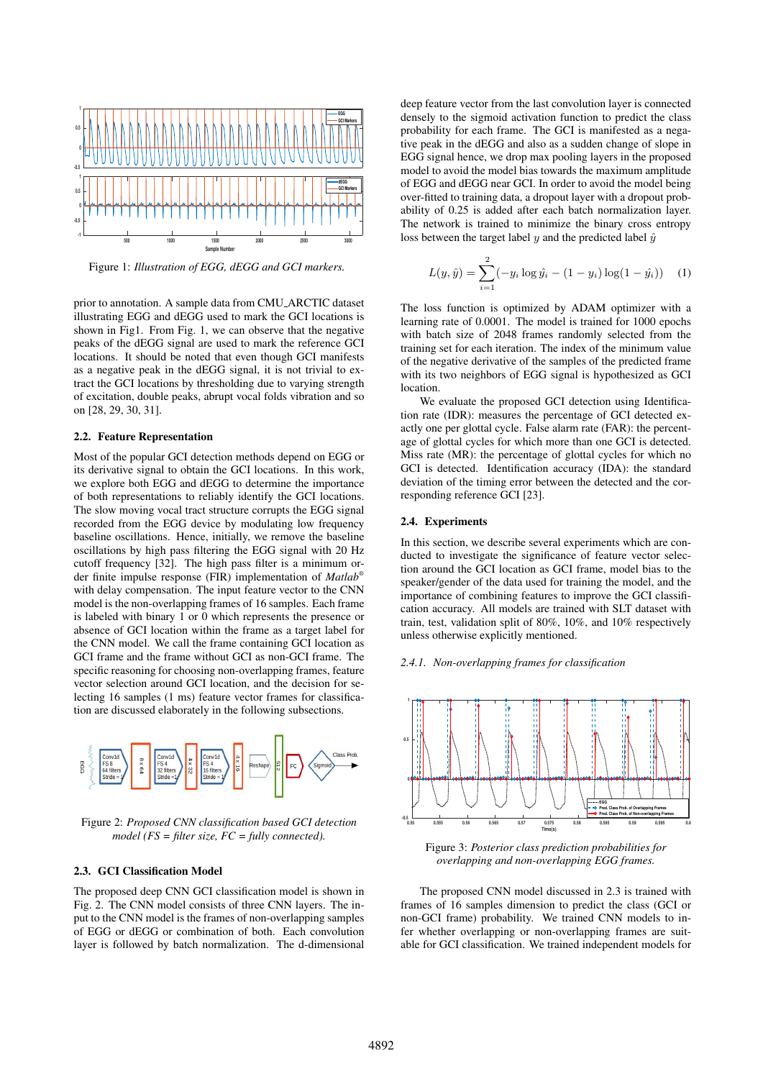

Figure 1: *Illustration of EGG, dEGG and GCI markers.*

prior to annotation. A sample data from CMU ARCTIC dataset illustrating EGG and dEGG used to mark the GCI locations is shown in Fig1. From Fig. 1, we can observe that the negative peaks of the dEGG signal are used to mark the reference GCI locations. It should be noted that even though GCI manifests as a negative peak in the dEGG signal, it is not trivial to extract the GCI locations by thresholding due to varying strength of excitation, double peaks, abrupt vocal folds vibration and so on [28, 29, 30, 31].

#### 2.2. Feature Representation

Most of the popular GCI detection methods depend on EGG or its derivative signal to obtain the GCI locations. In this work, we explore both EGG and dEGG to determine the importance of both representations to reliably identify the GCI locations. The slow moving vocal tract structure corrupts the EGG signal recorded from the EGG device by modulating low frequency baseline oscillations. Hence, initially, we remove the baseline oscillations by high pass filtering the EGG signal with 20 Hz cutoff frequency [32]. The high pass filter is a minimum order finite impulse response (FIR) implementation of *Matlab®* with delay compensation. The input feature vector to the CNN model is the non-overlapping frames of 16 samples. Each frame is labeled with binary 1 or 0 which represents the presence or absence of GCI location within the frame as a target label for the CNN model. We call the frame containing GCI location as GCI frame and the frame without GCI as non-GCI frame. The specific reasoning for choosing non-overlapping frames, feature vector selection around GCI location, and the decision for selecting 16 samples (1 ms) feature vector frames for classification are discussed elaborately in the following subsections.



Figure 2: *Proposed CNN classification based GCI detection model (FS = filter size, FC = fully connected).*

### 2.3. GCI Classification Model

The proposed deep CNN GCI classification model is shown in Fig. 2. The CNN model consists of three CNN layers. The input to the CNN model is the frames of non-overlapping samples of EGG or dEGG or combination of both. Each convolution layer is followed by batch normalization. The d-dimensional deep feature vector from the last convolution layer is connected densely to the sigmoid activation function to predict the class probability for each frame. The GCI is manifested as a negative peak in the dEGG and also as a sudden change of slope in EGG signal hence, we drop max pooling layers in the proposed model to avoid the model bias towards the maximum amplitude of EGG and dEGG near GCI. In order to avoid the model being over-fitted to training data, a dropout layer with a dropout probability of 0.25 is added after each batch normalization layer. The network is trained to minimize the binary cross entropy loss between the target label  $\psi$  and the predicted label  $\hat{\psi}$ 

$$
L(y, \hat{y}) = \sum_{i=1}^{2} (-y_i \log \hat{y}_i - (1 - y_i) \log(1 - \hat{y}_i)) \quad (1)
$$

The loss function is optimized by ADAM optimizer with a learning rate of 0.0001. The model is trained for 1000 epochs with batch size of 2048 frames randomly selected from the training set for each iteration. The index of the minimum value of the negative derivative of the samples of the predicted frame with its two neighbors of EGG signal is hypothesized as GCI location.

We evaluate the proposed GCI detection using Identification rate (IDR): measures the percentage of GCI detected exactly one per glottal cycle. False alarm rate (FAR): the percentage of glottal cycles for which more than one GCI is detected. Miss rate (MR): the percentage of glottal cycles for which no GCI is detected. Identification accuracy (IDA): the standard deviation of the timing error between the detected and the corresponding reference GCI [23].

#### 2.4. Experiments

In this section, we describe several experiments which are conducted to investigate the significance of feature vector selection around the GCI location as GCI frame, model bias to the speaker/gender of the data used for training the model, and the importance of combining features to improve the GCI classification accuracy. All models are trained with SLT dataset with train, test, validation split of 80%, 10%, and 10% respectively unless otherwise explicitly mentioned.





Figure 3: *Posterior class prediction probabilities for overlapping and non-overlapping EGG frames.*

The proposed CNN model discussed in 2.3 is trained with frames of 16 samples dimension to predict the class (GCI or non-GCI frame) probability. We trained CNN models to infer whether overlapping or non-overlapping frames are suitable for GCI classification. We trained independent models for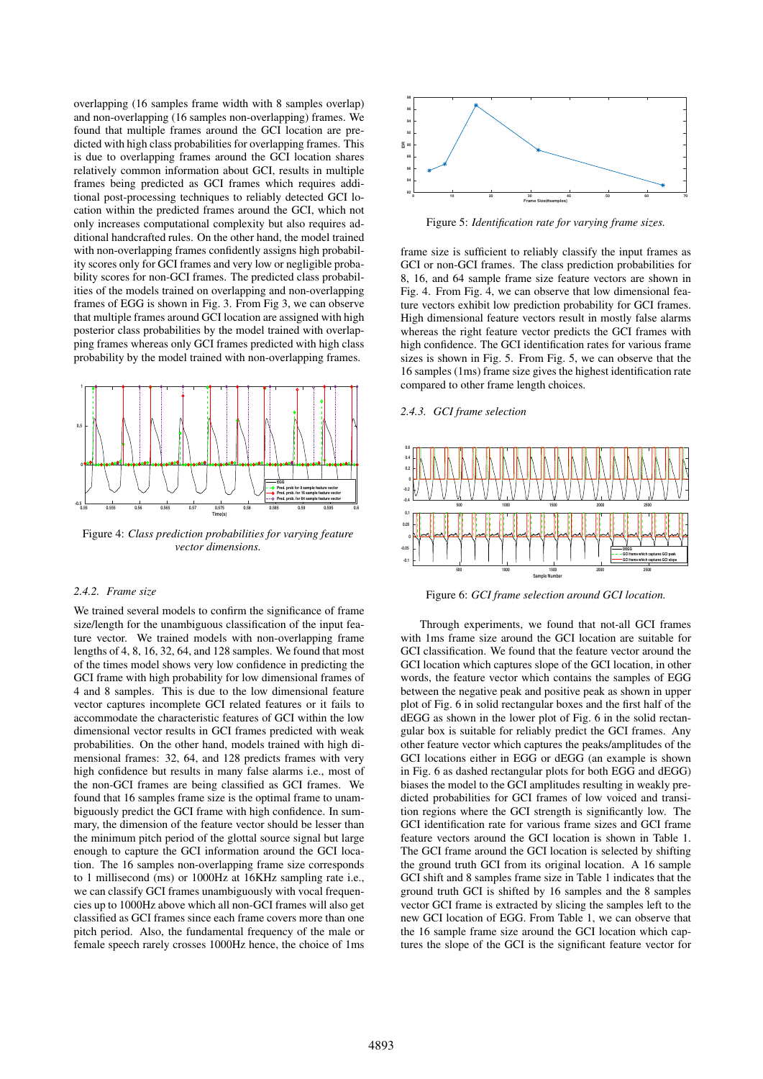overlapping (16 samples frame width with 8 samples overlap) and non-overlapping (16 samples non-overlapping) frames. We found that multiple frames around the GCI location are predicted with high class probabilities for overlapping frames. This is due to overlapping frames around the GCI location shares relatively common information about GCI, results in multiple frames being predicted as GCI frames which requires additional post-processing techniques to reliably detected GCI location within the predicted frames around the GCI, which not only increases computational complexity but also requires additional handcrafted rules. On the other hand, the model trained with non-overlapping frames confidently assigns high probability scores only for GCI frames and very low or negligible probability scores for non-GCI frames. The predicted class probabilities of the models trained on overlapping and non-overlapping frames of EGG is shown in Fig. 3. From Fig 3, we can observe that multiple frames around GCI location are assigned with high posterior class probabilities by the model trained with overlapping frames whereas only GCI frames predicted with high class probability by the model trained with non-overlapping frames.



Figure 4: *Class prediction probabilities for varying feature vector dimensions.*

#### *2.4.2. Frame size*

We trained several models to confirm the significance of frame size/length for the unambiguous classification of the input feature vector. We trained models with non-overlapping frame lengths of 4, 8, 16, 32, 64, and 128 samples. We found that most of the times model shows very low confidence in predicting the GCI frame with high probability for low dimensional frames of 4 and 8 samples. This is due to the low dimensional feature vector captures incomplete GCI related features or it fails to accommodate the characteristic features of GCI within the low dimensional vector results in GCI frames predicted with weak probabilities. On the other hand, models trained with high dimensional frames: 32, 64, and 128 predicts frames with very high confidence but results in many false alarms i.e., most of the non-GCI frames are being classified as GCI frames. We found that 16 samples frame size is the optimal frame to unambiguously predict the GCI frame with high confidence. In summary, the dimension of the feature vector should be lesser than the minimum pitch period of the glottal source signal but large enough to capture the GCI information around the GCI location. The 16 samples non-overlapping frame size corresponds to 1 millisecond (ms) or 1000Hz at 16KHz sampling rate i.e., we can classify GCI frames unambiguously with vocal frequencies up to 1000Hz above which all non-GCI frames will also get classified as GCI frames since each frame covers more than one pitch period. Also, the fundamental frequency of the male or female speech rarely crosses 1000Hz hence, the choice of 1ms



Figure 5: *Identification rate for varying frame sizes.*

frame size is sufficient to reliably classify the input frames as GCI or non-GCI frames. The class prediction probabilities for 8, 16, and 64 sample frame size feature vectors are shown in Fig. 4. From Fig. 4, we can observe that low dimensional feature vectors exhibit low prediction probability for GCI frames. High dimensional feature vectors result in mostly false alarms whereas the right feature vector predicts the GCI frames with high confidence. The GCI identification rates for various frame sizes is shown in Fig. 5. From Fig. 5, we can observe that the 16 samples (1ms) frame size gives the highest identification rate compared to other frame length choices.

# *2.4.3. GCI frame selection*



Figure 6: *GCI frame selection around GCI location.*

Through experiments, we found that not-all GCI frames with 1ms frame size around the GCI location are suitable for GCI classification. We found that the feature vector around the GCI location which captures slope of the GCI location, in other words, the feature vector which contains the samples of EGG between the negative peak and positive peak as shown in upper plot of Fig. 6 in solid rectangular boxes and the first half of the dEGG as shown in the lower plot of Fig. 6 in the solid rectangular box is suitable for reliably predict the GCI frames. Any other feature vector which captures the peaks/amplitudes of the GCI locations either in EGG or dEGG (an example is shown in Fig. 6 as dashed rectangular plots for both EGG and dEGG) biases the model to the GCI amplitudes resulting in weakly predicted probabilities for GCI frames of low voiced and transition regions where the GCI strength is significantly low. The GCI identification rate for various frame sizes and GCI frame feature vectors around the GCI location is shown in Table 1. The GCI frame around the GCI location is selected by shifting the ground truth GCI from its original location. A 16 sample GCI shift and 8 samples frame size in Table 1 indicates that the ground truth GCI is shifted by 16 samples and the 8 samples vector GCI frame is extracted by slicing the samples left to the new GCI location of EGG. From Table 1, we can observe that the 16 sample frame size around the GCI location which captures the slope of the GCI is the significant feature vector for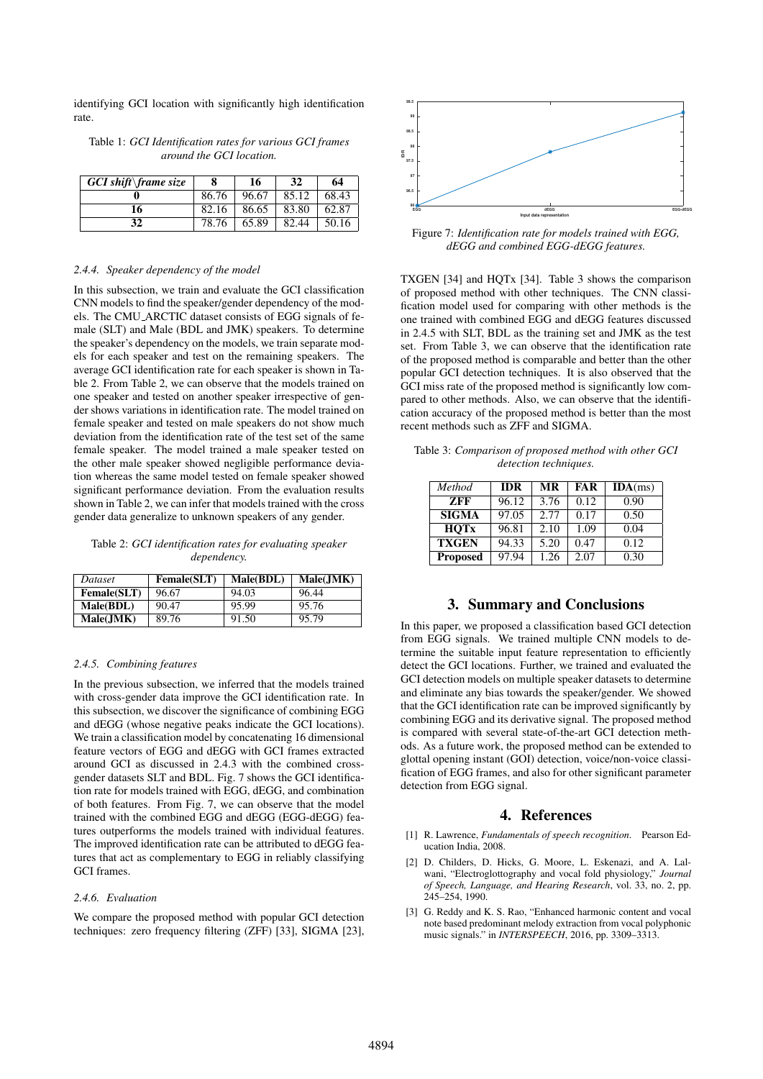identifying GCI location with significantly high identification rate.

Table 1: *GCI Identification rates for various GCI frames around the GCI location.*

| $GCI$ shift frame size |       | 16    | 32    | 64    |
|------------------------|-------|-------|-------|-------|
|                        | 86.76 | 96.67 | 85.12 | 68.43 |
| 16                     | 82.16 | 86.65 | 83.80 | 62.87 |
|                        | 78.76 | 65.89 | 82.44 | 50.16 |

#### *2.4.4. Speaker dependency of the model*

In this subsection, we train and evaluate the GCI classification CNN models to find the speaker/gender dependency of the models. The CMU ARCTIC dataset consists of EGG signals of female (SLT) and Male (BDL and JMK) speakers. To determine the speaker's dependency on the models, we train separate models for each speaker and test on the remaining speakers. The average GCI identification rate for each speaker is shown in Table 2. From Table 2, we can observe that the models trained on one speaker and tested on another speaker irrespective of gender shows variations in identification rate. The model trained on female speaker and tested on male speakers do not show much deviation from the identification rate of the test set of the same female speaker. The model trained a male speaker tested on the other male speaker showed negligible performance deviation whereas the same model tested on female speaker showed significant performance deviation. From the evaluation results shown in Table 2, we can infer that models trained with the cross gender data generalize to unknown speakers of any gender.

Table 2: *GCI identification rates for evaluating speaker dependency.*

| <i>Dataset</i>      | <b>Female(SLT)</b> | Male(BDL) | Male(JMK) |
|---------------------|--------------------|-----------|-----------|
| <b>Female</b> (SLT) | 96.67              | 94.03     | 96.44     |
| Male(BDL)           | 90.47              | 95.99     | 95.76     |
| Male(JMK)           | 89.76              | 91.50     | 95.79     |

#### *2.4.5. Combining features*

In the previous subsection, we inferred that the models trained with cross-gender data improve the GCI identification rate. In this subsection, we discover the significance of combining EGG and dEGG (whose negative peaks indicate the GCI locations). We train a classification model by concatenating 16 dimensional feature vectors of EGG and dEGG with GCI frames extracted around GCI as discussed in 2.4.3 with the combined crossgender datasets SLT and BDL. Fig. 7 shows the GCI identification rate for models trained with EGG, dEGG, and combination of both features. From Fig. 7, we can observe that the model trained with the combined EGG and dEGG (EGG-dEGG) features outperforms the models trained with individual features. The improved identification rate can be attributed to dEGG features that act as complementary to EGG in reliably classifying GCI frames.

### *2.4.6. Evaluation*

We compare the proposed method with popular GCI detection techniques: zero frequency filtering (ZFF) [33], SIGMA [23],



Figure 7: *Identification rate for models trained with EGG, dEGG and combined EGG-dEGG features.*

TXGEN [34] and HQTx [34]. Table 3 shows the comparison of proposed method with other techniques. The CNN classification model used for comparing with other methods is the one trained with combined EGG and dEGG features discussed in 2.4.5 with SLT, BDL as the training set and JMK as the test set. From Table 3, we can observe that the identification rate of the proposed method is comparable and better than the other popular GCI detection techniques. It is also observed that the GCI miss rate of the proposed method is significantly low compared to other methods. Also, we can observe that the identification accuracy of the proposed method is better than the most recent methods such as ZFF and SIGMA.

| Table 3: Comparison of proposed method with other GCI |  |
|-------------------------------------------------------|--|
| <i>detection techniques.</i>                          |  |

| Method          | <b>IDR</b> | <b>MR</b> | <b>FAR</b> | $IDA(ms)$ |
|-----------------|------------|-----------|------------|-----------|
| <b>ZFF</b>      | 96.12      | 3.76      | 0.12       | 0.90      |
| <b>SIGMA</b>    | 97.05      | 2.77      | 0.17       | 0.50      |
| <b>HOTx</b>     | 96.81      | 2.10      | 1.09       | 0.04      |
| <b>TXGEN</b>    | 94.33      | 5.20      | 0.47       | 0.12      |
| <b>Proposed</b> | 97.94      | 1.26      | 2.07       | 0.30      |

# 3. Summary and Conclusions

In this paper, we proposed a classification based GCI detection from EGG signals. We trained multiple CNN models to determine the suitable input feature representation to efficiently detect the GCI locations. Further, we trained and evaluated the GCI detection models on multiple speaker datasets to determine and eliminate any bias towards the speaker/gender. We showed that the GCI identification rate can be improved significantly by combining EGG and its derivative signal. The proposed method is compared with several state-of-the-art GCI detection methods. As a future work, the proposed method can be extended to glottal opening instant (GOI) detection, voice/non-voice classification of EGG frames, and also for other significant parameter detection from EGG signal.

## 4. References

- [1] R. Lawrence, *Fundamentals of speech recognition*. Pearson Education India, 2008.
- [2] D. Childers, D. Hicks, G. Moore, L. Eskenazi, and A. Lalwani, "Electroglottography and vocal fold physiology," *Journal of Speech, Language, and Hearing Research*, vol. 33, no. 2, pp. 245–254, 1990.
- [3] G. Reddy and K. S. Rao, "Enhanced harmonic content and vocal note based predominant melody extraction from vocal polyphonic music signals." in *INTERSPEECH*, 2016, pp. 3309–3313.